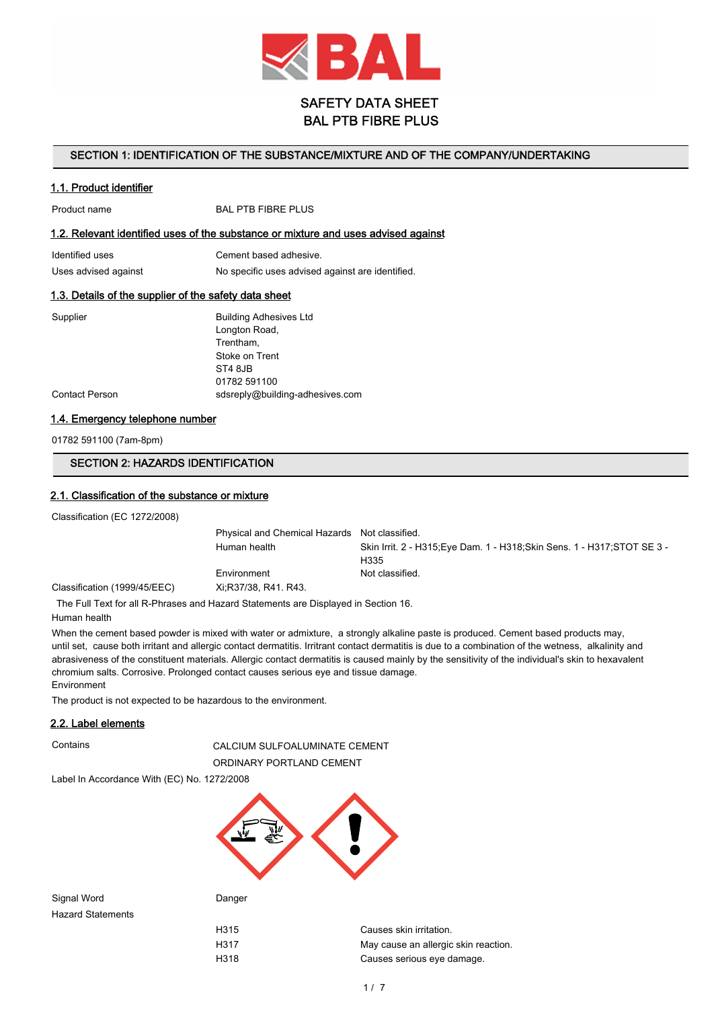

# SAFETY DATA SHEET BAL PTB FIBRE PLUS

#### SECTION 1: IDENTIFICATION OF THE SUBSTANCE/MIXTURE AND OF THE COMPANY/UNDERTAKING

#### 1.1. Product identifier

Product name BAL PTB FIBRE PLUS

#### 1.2. Relevant identified uses of the substance or mixture and uses advised against

| Identified uses      | Cement based adhesive.                           |
|----------------------|--------------------------------------------------|
| Uses advised against | No specific uses advised against are identified. |

#### 1.3. Details of the supplier of the safety data sheet

| Supplier              | <b>Building Adhesives Ltd</b>   |
|-----------------------|---------------------------------|
|                       | Longton Road,                   |
|                       | Trentham,                       |
|                       | Stoke on Trent                  |
|                       | ST4 8JB                         |
|                       | 01782 591100                    |
| <b>Contact Person</b> | sdsreply@building-adhesives.com |

#### 1.4. Emergency telephone number

01782 591100 (7am-8pm)

# SECTION 2: HAZARDS IDENTIFICATION

### 2.1. Classification of the substance or mixture

Classification (EC 1272/2008)

|                              | Physical and Chemical Hazards Not classified. |                                                                           |
|------------------------------|-----------------------------------------------|---------------------------------------------------------------------------|
|                              | Human health                                  | Skin Irrit. 2 - H315: Eye Dam. 1 - H318: Skin Sens. 1 - H317: STOT SE 3 - |
|                              |                                               | H335                                                                      |
|                              | Environment                                   | Not classified.                                                           |
| Classification (1999/45/EEC) | Xi:R37/38, R41, R43,                          |                                                                           |

The Full Text for all R-Phrases and Hazard Statements are Displayed in Section 16.

Human health

When the cement based powder is mixed with water or admixture, a strongly alkaline paste is produced. Cement based products may, until set, cause both irritant and allergic contact dermatitis. Irritrant contact dermatitis is due to a combination of the wetness, alkalinity and abrasiveness of the constituent materials. Allergic contact dermatitis is caused mainly by the sensitivity of the individual's skin to hexavalent chromium salts. Corrosive. Prolonged contact causes serious eye and tissue damage. Environment

The product is not expected to be hazardous to the environment.

#### 2.2. Label elements

Contains CALCIUM SULFOALUMINATE CEMENT ORDINARY PORTLAND CEMENT

Label In Accordance With (EC) No. 1272/2008



Signal Word Danger Hazard Statements

H315 Causes skin irritation. H317 May cause an allergic skin reaction. H318 Causes serious eye damage.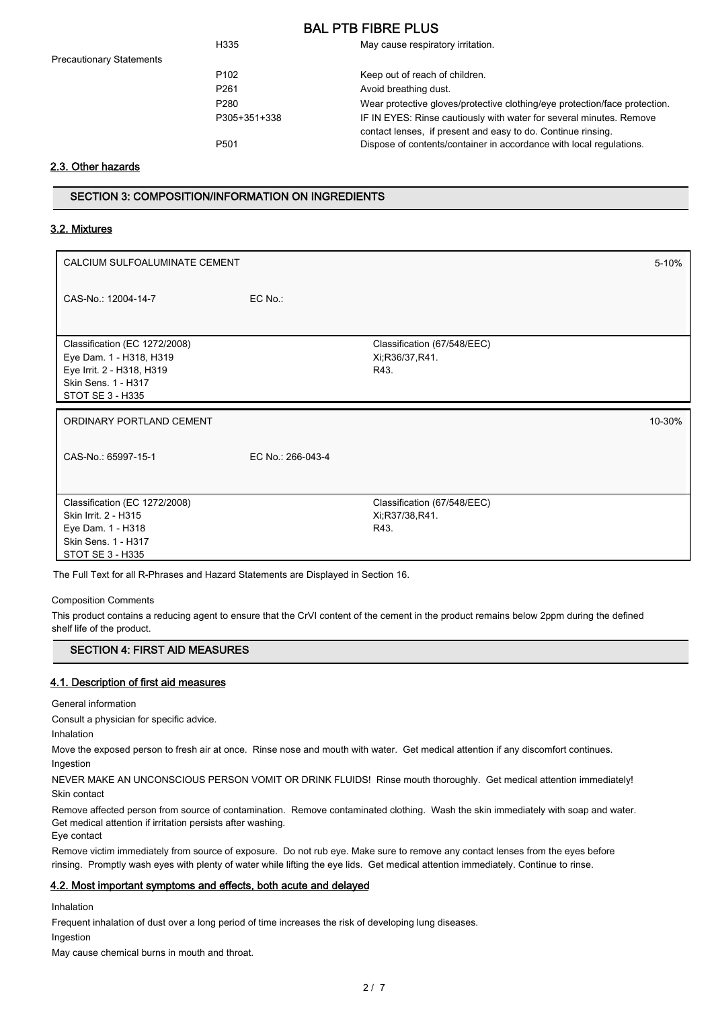| H335             | May cause respiratory irritation.                                                                                                   |
|------------------|-------------------------------------------------------------------------------------------------------------------------------------|
| P <sub>102</sub> | Keep out of reach of children.                                                                                                      |
| P <sub>261</sub> | Avoid breathing dust.                                                                                                               |
| P <sub>280</sub> | Wear protective gloves/protective clothing/eye protection/face protection.                                                          |
| P305+351+338     | IF IN EYES: Rinse cautiously with water for several minutes. Remove<br>contact lenses, if present and easy to do. Continue rinsing. |
| P <sub>501</sub> | Dispose of contents/container in accordance with local regulations.                                                                 |
|                  |                                                                                                                                     |

# 2.3. Other hazards

Precautionary Statements

# SECTION 3: COMPOSITION/INFORMATION ON INGREDIENTS

## 3.2. Mixtures

| CALCIUM SULFOALUMINATE CEMENT                                                                                                    |                   |                                                         | 5-10%  |
|----------------------------------------------------------------------------------------------------------------------------------|-------------------|---------------------------------------------------------|--------|
| CAS-No.: 12004-14-7                                                                                                              | $EC$ No.:         |                                                         |        |
| Classification (EC 1272/2008)<br>Eye Dam. 1 - H318, H319<br>Eye Irrit. 2 - H318, H319<br>Skin Sens. 1 - H317<br>STOT SE 3 - H335 |                   | Classification (67/548/EEC)<br>Xi, R36/37, R41.<br>R43. |        |
| ORDINARY PORTLAND CEMENT                                                                                                         |                   |                                                         |        |
|                                                                                                                                  |                   |                                                         | 10-30% |
| CAS-No.: 65997-15-1                                                                                                              | EC No.: 266-043-4 |                                                         |        |

The Full Text for all R-Phrases and Hazard Statements are Displayed in Section 16.

Composition Comments

This product contains a reducing agent to ensure that the CrVI content of the cement in the product remains below 2ppm during the defined shelf life of the product.

### SECTION 4: FIRST AID MEASURES

### 4.1. Description of first aid measures

General information

Consult a physician for specific advice.

Inhalation

Move the exposed person to fresh air at once. Rinse nose and mouth with water. Get medical attention if any discomfort continues.

Ingestion

NEVER MAKE AN UNCONSCIOUS PERSON VOMIT OR DRINK FLUIDS! Rinse mouth thoroughly. Get medical attention immediately! Skin contact

Remove affected person from source of contamination. Remove contaminated clothing. Wash the skin immediately with soap and water. Get medical attention if irritation persists after washing.

Eye contact

Remove victim immediately from source of exposure. Do not rub eye. Make sure to remove any contact lenses from the eyes before rinsing. Promptly wash eyes with plenty of water while lifting the eye lids. Get medical attention immediately. Continue to rinse.

# 4.2. Most important symptoms and effects, both acute and delayed

Inhalation

Frequent inhalation of dust over a long period of time increases the risk of developing lung diseases.

Ingestion

May cause chemical burns in mouth and throat.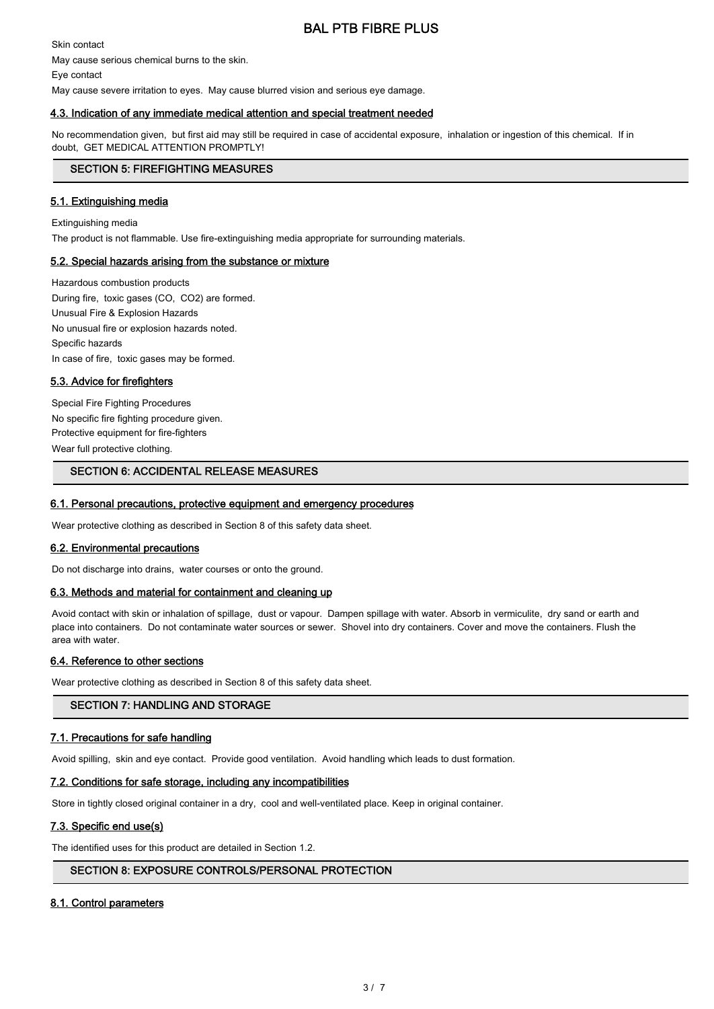Skin contact May cause serious chemical burns to the skin. Eye contact May cause severe irritation to eyes. May cause blurred vision and serious eye damage.

# 4.3. Indication of any immediate medical attention and special treatment needed

No recommendation given, but first aid may still be required in case of accidental exposure, inhalation or ingestion of this chemical. If in doubt, GET MEDICAL ATTENTION PROMPTLY!

#### SECTION 5: FIREFIGHTING MEASURES

### 5.1. Extinguishing media

Extinguishing media The product is not flammable. Use fire-extinguishing media appropriate for surrounding materials.

### 5.2. Special hazards arising from the substance or mixture

Hazardous combustion products During fire, toxic gases (CO, CO2) are formed. Unusual Fire & Explosion Hazards No unusual fire or explosion hazards noted. Specific hazards In case of fire, toxic gases may be formed.

### 5.3. Advice for firefighters

Special Fire Fighting Procedures No specific fire fighting procedure given. Protective equipment for fire-fighters Wear full protective clothing.

## SECTION 6: ACCIDENTAL RELEASE MEASURES

#### 6.1. Personal precautions, protective equipment and emergency procedures

Wear protective clothing as described in Section 8 of this safety data sheet.

#### 6.2. Environmental precautions

Do not discharge into drains, water courses or onto the ground.

#### 6.3. Methods and material for containment and cleaning up

Avoid contact with skin or inhalation of spillage, dust or vapour. Dampen spillage with water. Absorb in vermiculite, dry sand or earth and place into containers. Do not contaminate water sources or sewer. Shovel into dry containers. Cover and move the containers. Flush the area with water.

#### 6.4. Reference to other sections

Wear protective clothing as described in Section 8 of this safety data sheet.

## SECTION 7: HANDLING AND STORAGE

#### 7.1. Precautions for safe handling

Avoid spilling, skin and eye contact. Provide good ventilation. Avoid handling which leads to dust formation.

### 7.2. Conditions for safe storage, including any incompatibilities

Store in tightly closed original container in a dry, cool and well-ventilated place. Keep in original container.

#### 7.3. Specific end use(s)

The identified uses for this product are detailed in Section 1.2.

#### SECTION 8: EXPOSURE CONTROLS/PERSONAL PROTECTION

#### 8.1. Control parameters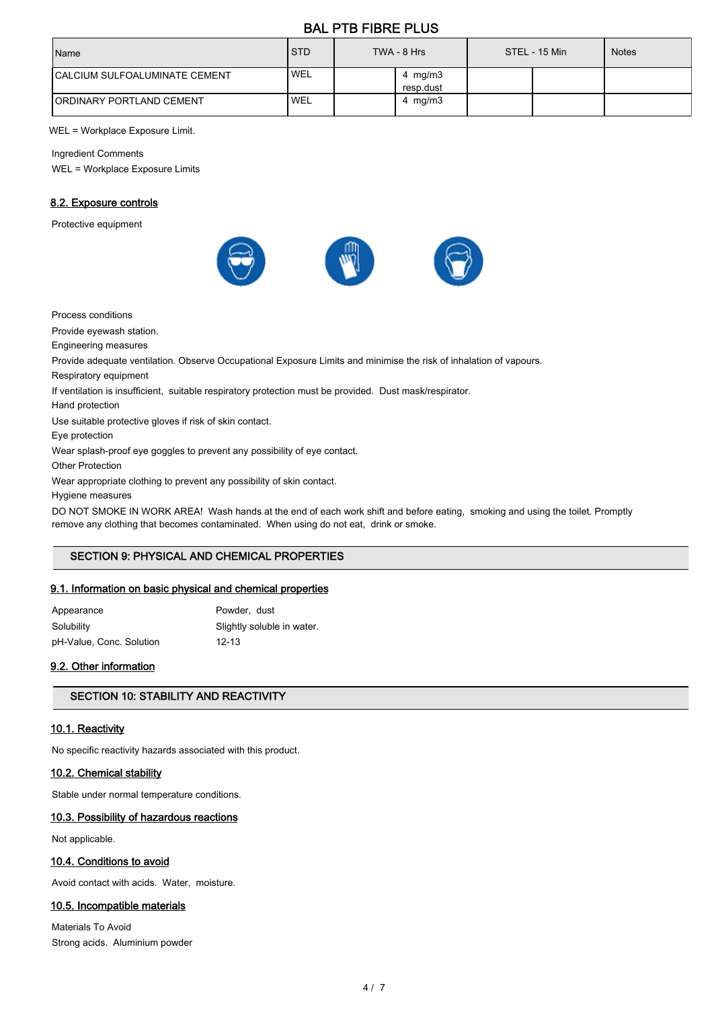| Name                                 | <b>STD</b>       | TWA - 8 Hrs             | STEL - 15 Min | <b>Notes</b> |
|--------------------------------------|------------------|-------------------------|---------------|--------------|
| <b>CALCIUM SULFOALUMINATE CEMENT</b> | <b>WEL</b>       | 4 mg/m $3$<br>resp.dust |               |              |
| <b>IORDINARY PORTLAND CEMENT</b>     | WEL <sup>'</sup> | 4 mg/m $3$              |               |              |

WEL = Workplace Exposure Limit.

Ingredient Comments

WEL = Workplace Exposure Limits

# 8.2. Exposure controls

Protective equipment



Process conditions

Provide eyewash station.

Engineering measures

Provide adequate ventilation. Observe Occupational Exposure Limits and minimise the risk of inhalation of vapours.

Respiratory equipment

If ventilation is insufficient, suitable respiratory protection must be provided. Dust mask/respirator.

Hand protection

Use suitable protective gloves if risk of skin contact.

Eye protection

Wear splash-proof eye goggles to prevent any possibility of eye contact.

Other Protection

Wear appropriate clothing to prevent any possibility of skin contact.

Hygiene measures

DO NOT SMOKE IN WORK AREA! Wash hands at the end of each work shift and before eating, smoking and using the toilet. Promptly remove any clothing that becomes contaminated. When using do not eat, drink or smoke.

# SECTION 9: PHYSICAL AND CHEMICAL PROPERTIES

# 9.1. Information on basic physical and chemical properties

Appearance Powder, dust Solubility Solubility Slightly soluble in water. pH-Value, Conc. Solution 12-13

# 9.2. Other information

# SECTION 10: STABILITY AND REACTIVITY

# 10.1. Reactivity

No specific reactivity hazards associated with this product.

# 10.2. Chemical stability

Stable under normal temperature conditions.

# 10.3. Possibility of hazardous reactions

Not applicable.

# 10.4. Conditions to avoid

Avoid contact with acids. Water, moisture.

# 10.5. Incompatible materials

Materials To Avoid Strong acids. Aluminium powder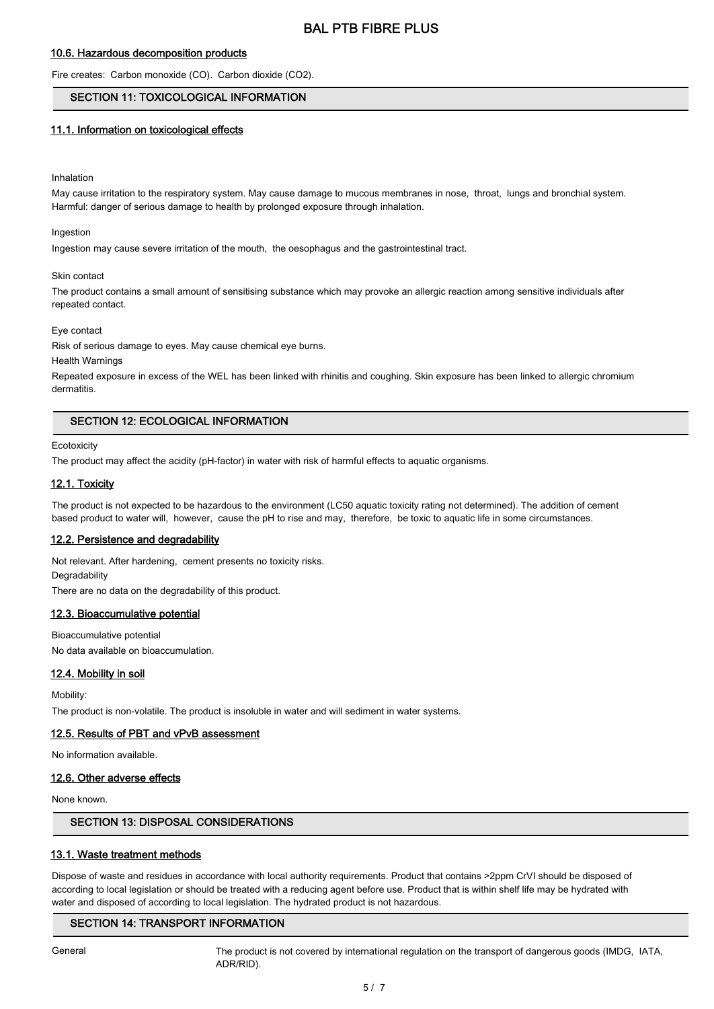#### 10.6. Hazardous decomposition products

Fire creates: Carbon monoxide (CO). Carbon dioxide (CO2).

### SECTION 11: TOXICOLOGICAL INFORMATION

#### 11.1. Information on toxicological effects

#### Inhalation

May cause irritation to the respiratory system. May cause damage to mucous membranes in nose, throat, lungs and bronchial system. Harmful: danger of serious damage to health by prolonged exposure through inhalation.

#### Ingestion

Ingestion may cause severe irritation of the mouth, the oesophagus and the gastrointestinal tract.

#### Skin contact

The product contains a small amount of sensitising substance which may provoke an allergic reaction among sensitive individuals after repeated contact.

#### Eye contact

Risk of serious damage to eyes. May cause chemical eye burns.

Health Warnings

Repeated exposure in excess of the WEL has been linked with rhinitis and coughing. Skin exposure has been linked to allergic chromium dermatitis.

# SECTION 12: ECOLOGICAL INFORMATION

#### **Ecotoxicity**

The product may affect the acidity (pH-factor) in water with risk of harmful effects to aquatic organisms.

### 12.1. Toxicity

The product is not expected to be hazardous to the environment (LC50 aquatic toxicity rating not determined). The addition of cement based product to water will, however, cause the pH to rise and may, therefore, be toxic to aquatic life in some circumstances.

#### 12.2. Persistence and degradability

Not relevant. After hardening, cement presents no toxicity risks. Degradability There are no data on the degradability of this product.

## 12.3. Bioaccumulative potential

Bioaccumulative potential No data available on bioaccumulation.

### 12.4. Mobility in soil

Mobility: The product is non-volatile. The product is insoluble in water and will sediment in water systems.

#### 12.5. Results of PBT and vPvB assessment

No information available.

#### 12.6. Other adverse effects

None known.

# SECTION 13: DISPOSAL CONSIDERATIONS

#### 13.1. Waste treatment methods

Dispose of waste and residues in accordance with local authority requirements. Product that contains >2ppm CrVI should be disposed of according to local legislation or should be treated with a reducing agent before use. Product that is within shelf life may be hydrated with water and disposed of according to local legislation. The hydrated product is not hazardous.

# SECTION 14: TRANSPORT INFORMATION

General The product is not covered by international regulation on the transport of dangerous goods (IMDG, IATA, ADR/RID).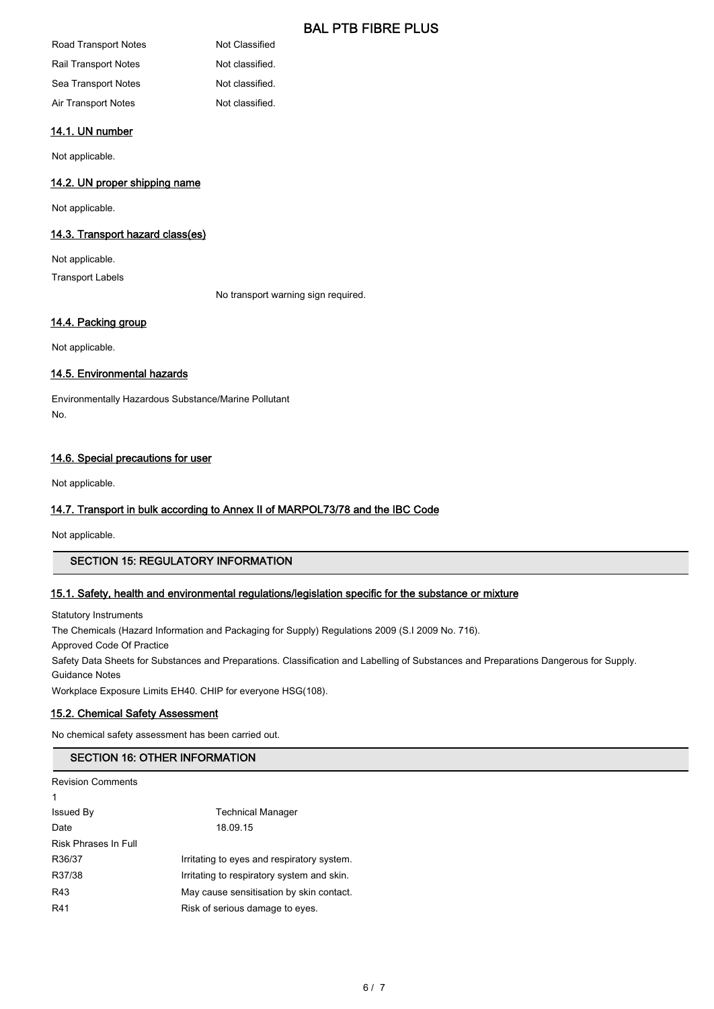| Road Transport Notes | Not Classified  |
|----------------------|-----------------|
| Rail Transport Notes | Not classified. |
| Sea Transport Notes  | Not classified. |
| Air Transport Notes  | Not classified. |

# 14.1. UN number

Not applicable.

# 14.2. UN proper shipping name

Not applicable.

#### 14.3. Transport hazard class(es)

Not applicable. Transport Labels

No transport warning sign required.

# 14.4. Packing group

Not applicable.

# 14.5. Environmental hazards

Environmentally Hazardous Substance/Marine Pollutant No.

# 14.6. Special precautions for user

Not applicable.

# 14.7. Transport in bulk according to Annex II of MARPOL73/78 and the IBC Code

Not applicable.

# SECTION 15: REGULATORY INFORMATION

# 15.1. Safety, health and environmental regulations/legislation specific for the substance or mixture

Statutory Instruments

The Chemicals (Hazard Information and Packaging for Supply) Regulations 2009 (S.I 2009 No. 716).

Approved Code Of Practice

Safety Data Sheets for Substances and Preparations. Classification and Labelling of Substances and Preparations Dangerous for Supply.

Guidance Notes

Workplace Exposure Limits EH40. CHIP for everyone HSG(108).

# 15.2. Chemical Safety Assessment

No chemical safety assessment has been carried out.

# SECTION 16: OTHER INFORMATION

Revision Comments

| 1                    |                                            |
|----------------------|--------------------------------------------|
| Issued By            | <b>Technical Manager</b>                   |
| Date                 | 18.09.15                                   |
| Risk Phrases In Full |                                            |
| R36/37               | Irritating to eyes and respiratory system. |
| R37/38               | Irritating to respiratory system and skin. |
| R43                  | May cause sensitisation by skin contact.   |
| R41                  | Risk of serious damage to eyes.            |